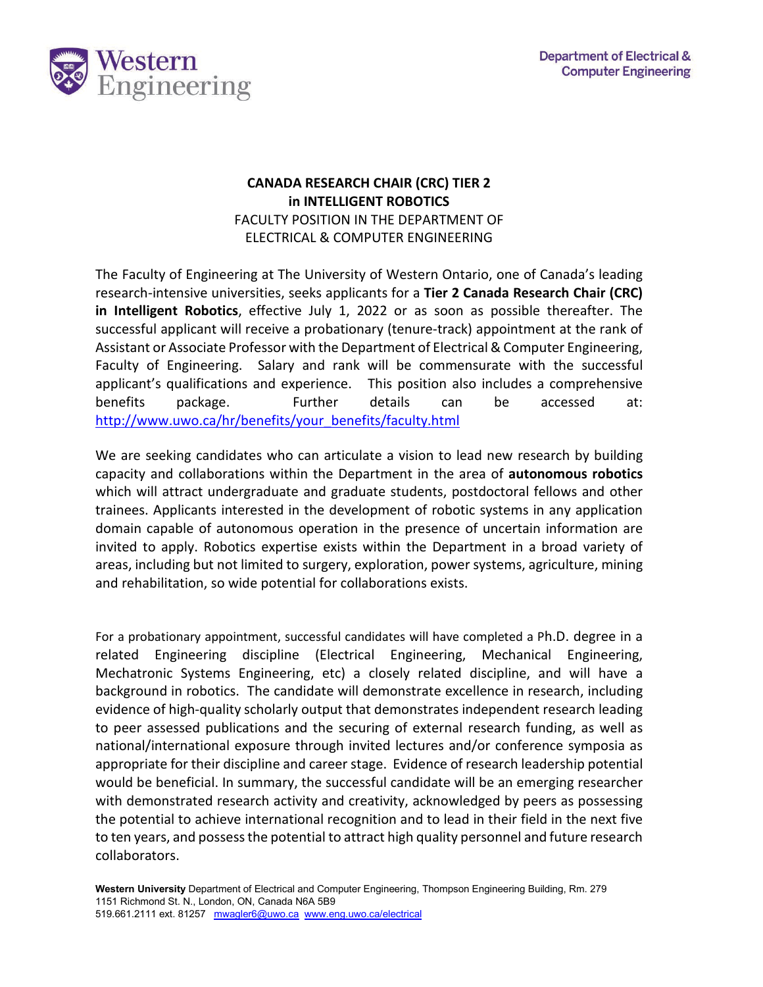

## **CANADA RESEARCH CHAIR (CRC) TIER 2 in INTELLIGENT ROBOTICS**  FACULTY POSITION IN THE DEPARTMENT OF ELECTRICAL & COMPUTER ENGINEERING

The Faculty of Engineering at The University of Western Ontario, one of Canada's leading research-intensive universities, seeks applicants for a **Tier 2 Canada Research Chair (CRC) in Intelligent Robotics**, effective July 1, 2022 or as soon as possible thereafter. The successful applicant will receive a probationary (tenure-track) appointment at the rank of Assistant or Associate Professor with the Department of Electrical & Computer Engineering, Faculty of Engineering. Salary and rank will be commensurate with the successful applicant's qualifications and experience. This position also includes a comprehensive benefits package. Further details can be accessed at: [http://www.uwo.ca/hr/benefits/your\\_benefits/faculty.html](http://www.uwo.ca/hr/benefits/your_benefits/faculty.html)

We are seeking candidates who can articulate a vision to lead new research by building capacity and collaborations within the Department in the area of **autonomous robotics**  which will attract undergraduate and graduate students, postdoctoral fellows and other trainees. Applicants interested in the development of robotic systems in any application domain capable of autonomous operation in the presence of uncertain information are invited to apply. Robotics expertise exists within the Department in a broad variety of areas, including but not limited to surgery, exploration, power systems, agriculture, mining and rehabilitation, so wide potential for collaborations exists.

For a probationary appointment, successful candidates will have completed a Ph.D. degree in a related Engineering discipline (Electrical Engineering, Mechanical Engineering, Mechatronic Systems Engineering, etc) a closely related discipline, and will have a background in robotics. The candidate will demonstrate excellence in research, including evidence of high-quality scholarly output that demonstrates independent research leading to peer assessed publications and the securing of external research funding, as well as national/international exposure through invited lectures and/or conference symposia as appropriate for their discipline and career stage. Evidence of research leadership potential would be beneficial. In summary, the successful candidate will be an emerging researcher with demonstrated research activity and creativity, acknowledged by peers as possessing the potential to achieve international recognition and to lead in their field in the next five to ten years, and possess the potential to attract high quality personnel and future research collaborators.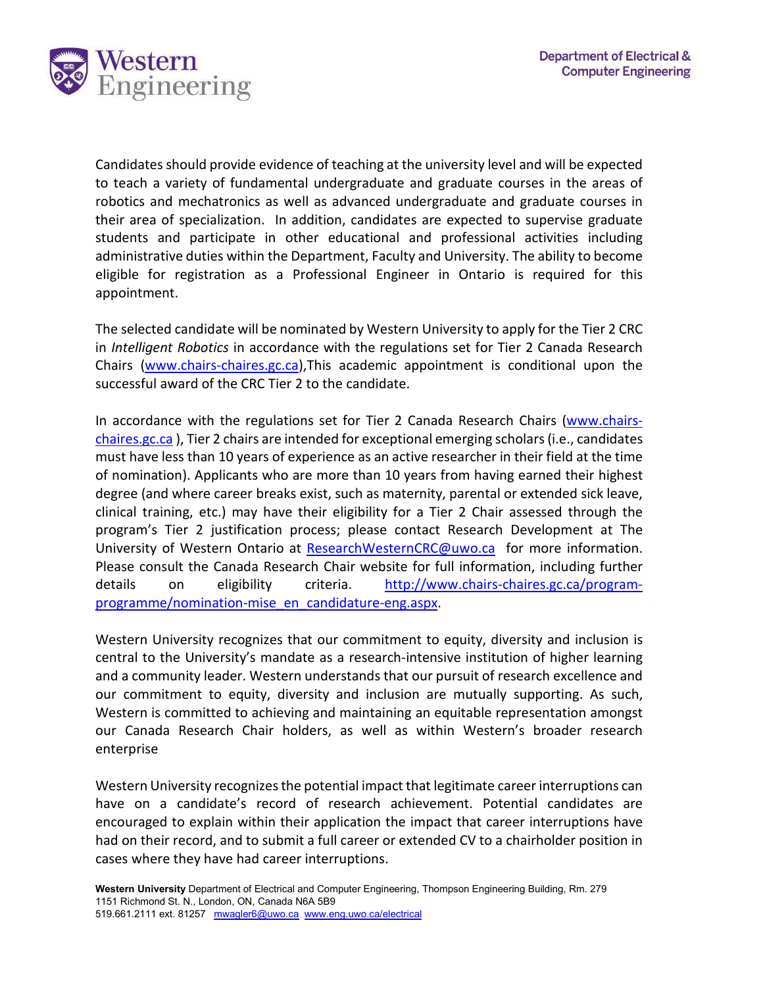

Candidates should provide evidence of teaching at the university level and will be expected to teach a variety of fundamental undergraduate and graduate courses in the areas of robotics and mechatronics as well as advanced undergraduate and graduate courses in their area of specialization. In addition, candidates are expected to supervise graduate students and participate in other educational and professional activities including administrative duties within the Department, Faculty and University. The ability to become eligible for registration as a Professional Engineer in Ontario is required for this appointment.

The selected candidate will be nominated by Western University to apply for the Tier 2 CRC in *Intelligent Robotics* in accordance with the regulations set for Tier 2 Canada Research Chairs [\(www.chairs-chaires.gc.ca\)](http://www.chairs-chaires.gc.ca/),This academic appointment is conditional upon the successful award of the CRC Tier 2 to the candidate.

In accordance with the regulations set for Tier 2 Canada Research Chairs [\(www.chairs](http://www.chairs-chaires.gc.ca/)[chaires.gc.ca](http://www.chairs-chaires.gc.ca/) ), Tier 2 chairs are intended for exceptional emerging scholars (i.e., candidates must have less than 10 years of experience as an active researcher in their field at the time of nomination). Applicants who are more than 10 years from having earned their highest degree (and where career breaks exist, such as maternity, parental or extended sick leave, clinical training, etc.) may have their eligibility for a Tier 2 Chair assessed through the program's Tier 2 justification process; please contact Research Development at The University of Western Ontario at [ResearchWesternCRC@uwo.ca](mailto:ResearchWesternCRC@uwo.ca) for more information. Please consult the Canada Research Chair website for full information, including further details on eligibility criteria. [http://www.chairs-chaires.gc.ca/program](http://www.chairs-chaires.gc.ca/program-programme/nomination-mise_en_candidature-eng.aspx)[programme/nomination-mise\\_en\\_candidature-eng.aspx.](http://www.chairs-chaires.gc.ca/program-programme/nomination-mise_en_candidature-eng.aspx)

Western University recognizes that our commitment to equity, diversity and inclusion is central to the University's mandate as a research-intensive institution of higher learning and a community leader. Western understands that our pursuit of research excellence and our commitment to equity, diversity and inclusion are mutually supporting. As such, Western is committed to achieving and maintaining an equitable representation amongst our Canada Research Chair holders, as well as within Western's broader research enterprise

Western University recognizes the potential impact that legitimate career interruptions can have on a candidate's record of research achievement. Potential candidates are encouraged to explain within their application the impact that career interruptions have had on their record, and to submit a full career or extended CV to a chairholder position in cases where they have had career interruptions.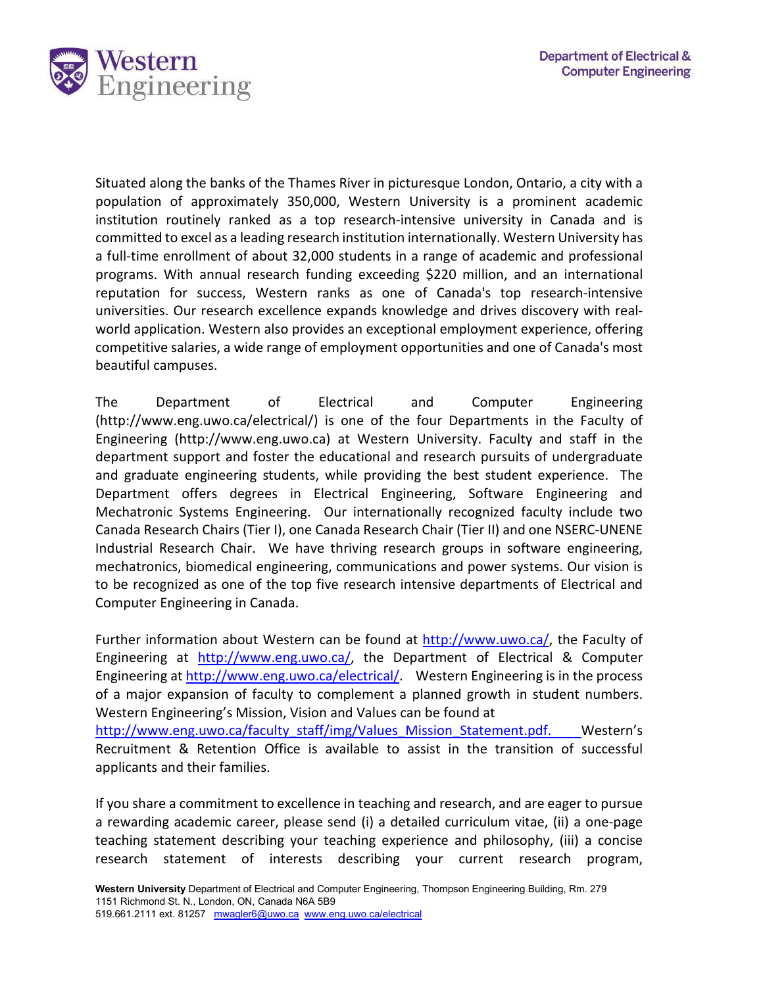

Situated along the banks of the Thames River in picturesque London, Ontario, a city with a population of approximately 350,000, Western University is a prominent academic institution routinely ranked as a top research-intensive university in Canada and is committed to excel as a leading research institution internationally. Western University has a full-time enrollment of about 32,000 students in a range of academic and professional programs. With annual research funding exceeding \$220 million, and an international reputation for success, Western ranks as one of Canada's top research-intensive universities. Our research excellence expands knowledge and drives discovery with realworld application. Western also provides an exceptional employment experience, offering competitive salaries, a wide range of employment opportunities and one of Canada's most beautiful campuses.

The Department of Electrical and Computer Engineering (http://www.eng.uwo.ca/electrical/) is one of the four Departments in the Faculty of Engineering (http://www.eng.uwo.ca) at Western University. Faculty and staff in the department support and foster the educational and research pursuits of undergraduate and graduate engineering students, while providing the best student experience. The Department offers degrees in Electrical Engineering, Software Engineering and Mechatronic Systems Engineering. Our internationally recognized faculty include two Canada Research Chairs (Tier I), one Canada Research Chair (Tier II) and one NSERC-UNENE Industrial Research Chair. We have thriving research groups in software engineering, mechatronics, biomedical engineering, communications and power systems. Our vision is to be recognized as one of the top five research intensive departments of Electrical and Computer Engineering in Canada.

Further information about Western can be found at [http://www.uwo.ca/,](http://www.uwo.ca/) the Faculty of Engineering at [http://www.eng.uwo.ca/,](http://www.eng.uwo.ca/) the Department of Electrical & Computer Engineering at [http://www.eng.uwo.ca/electrical/.](http://www.eng.uwo.ca/electrical/) Western Engineering is in the process of a major expansion of faculty to complement a planned growth in student numbers. Western Engineering's Mission, Vision and Values can be found at [http://www.eng.uwo.ca/faculty\\_staff/img/Values\\_Mission\\_Statement.pdf.](http://www.eng.uwo.ca/faculty_staff/img/Values_Mission_Statement.pdf) Western's Recruitment & Retention Office is available to assist in the transition of successful

applicants and their families.

If you share a commitment to excellence in teaching and research, and are eager to pursue a rewarding academic career, please send (i) a detailed curriculum vitae, (ii) a one-page teaching statement describing your teaching experience and philosophy, (iii) a concise research statement of interests describing your current research program,